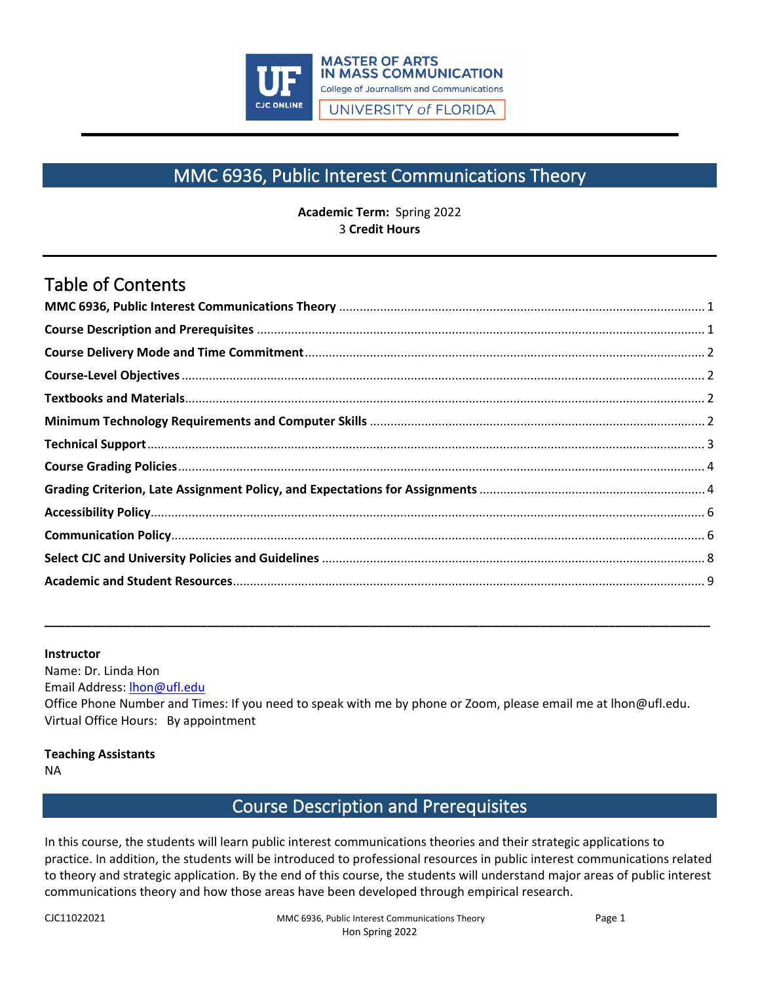

# MMC 6936, Public Interest Communications Theory

**Academic Term:** Spring 2022 3 **Credit Hours**

# <span id="page-0-0"></span>Table of Contents

#### **Instructor**

Name: Dr. Linda Hon Email Address: [lhon@ufl.edu](mailto:lhon@ufl.edu) Office Phone Number and Times: If you need to speak with me by phone or Zoom, please email me at lhon@ufl.edu. Virtual Office Hours: By appointment

**\_\_\_\_\_\_\_\_\_\_\_\_\_\_\_\_\_\_\_\_\_\_\_\_\_\_\_\_\_\_\_\_\_\_\_\_\_\_\_\_\_\_\_\_\_\_\_\_\_\_\_\_\_\_\_\_\_\_\_\_\_\_\_\_\_\_\_\_\_\_\_\_\_\_\_\_\_\_\_\_\_\_\_\_\_\_\_\_\_\_\_\_\_\_\_\_\_\_**

#### **Teaching Assistants**

<span id="page-0-1"></span>NA

### Course Description and Prerequisites

In this course, the students will learn public interest communications theories and their strategic applications to practice. In addition, the students will be introduced to professional resources in public interest communications related to theory and strategic application. By the end of this course, the students will understand major areas of public interest communications theory and how those areas have been developed through empirical research.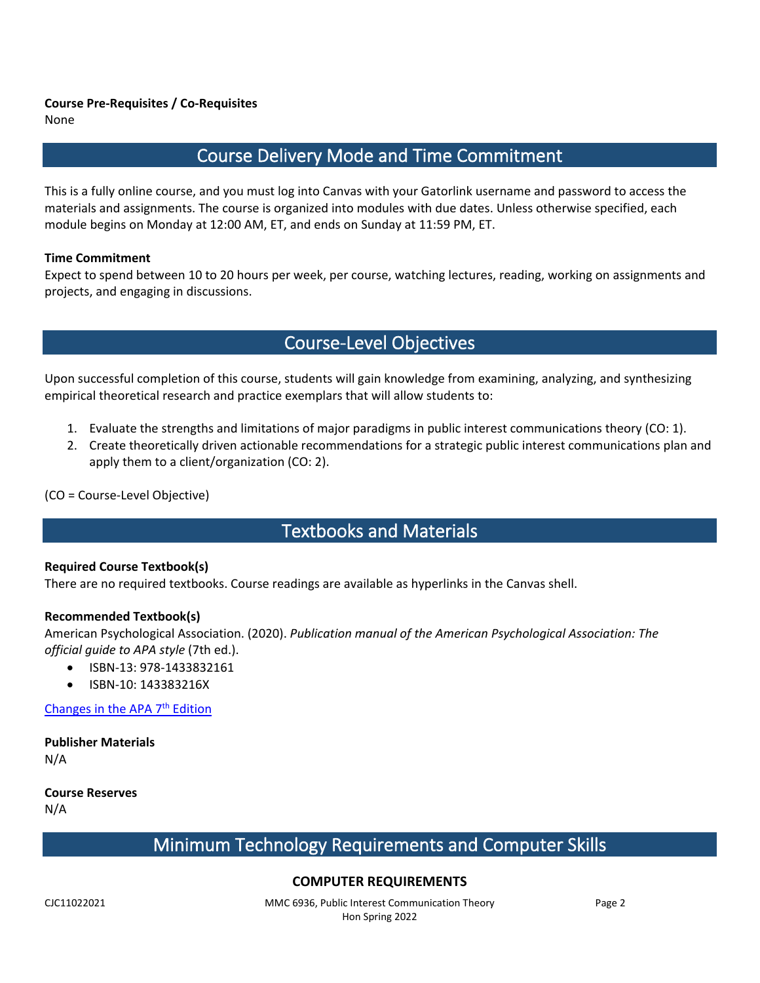<span id="page-1-0"></span>None

## Course Delivery Mode and Time Commitment

This is a fully online course, and you must log into Canvas with your Gatorlink username and password to access the materials and assignments. The course is organized into modules with due dates. Unless otherwise specified, each module begins on Monday at 12:00 AM, ET, and ends on Sunday at 11:59 PM, ET.

#### **Time Commitment**

<span id="page-1-1"></span>Expect to spend between 10 to 20 hours per week, per course, watching lectures, reading, working on assignments and projects, and engaging in discussions.

## Course-Level Objectives

Upon successful completion of this course, students will gain knowledge from examining, analyzing, and synthesizing empirical theoretical research and practice exemplars that will allow students to:

- 1. Evaluate the strengths and limitations of major paradigms in public interest communications theory (CO: 1).
- 2. Create theoretically driven actionable recommendations for a strategic public interest communications plan and apply them to a client/organization (CO: 2).

<span id="page-1-2"></span>(CO = Course-Level Objective)

## Textbooks and Materials

#### **Required Course Textbook(s)**

There are no required textbooks. Course readings are available as hyperlinks in the Canvas shell.

#### **Recommended Textbook(s)**

American Psychological Association. (2020). *Publication manual of the American Psychological Association: The official guide to APA style* (7th ed.).

- ISBN-13: 978-1433832161
- ISBN-10: 143383216X

Changes in the APA 7<sup>th</sup> Edition

**Publisher Materials**  N/A

<span id="page-1-3"></span>**Course Reserves** N/A

# Minimum Technology Requirements and Computer Skills

### **COMPUTER REQUIREMENTS**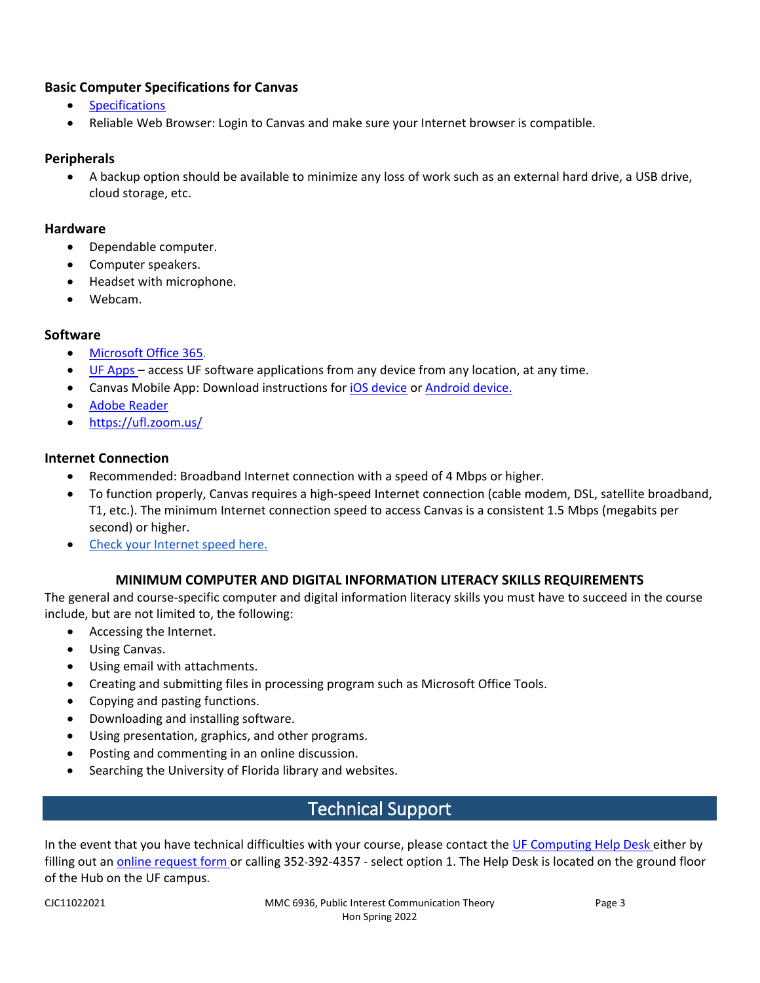#### **Basic [Computer Specifications](https://community.canvaslms.com/docs/DOC-2059) for Canvas**

- [Specifications](https://guides.instructure.com/m/67952/l/720328-what-are-the-basic-computer-specifications-for-canvas)
- Reliable Web Browser: Login to Canvas and make sure your Internet browser is compatible.

#### **Peripherals**

• A backup option should be available to minimize any loss of work such as an external hard drive, a USB drive, cloud storage, etc.

#### **Hardware**

- Dependable computer.
- Computer speakers.
- Headset with microphone.
- Webcam.

#### **Software**

- [Microsoft Office 365.](https://news.it.ufl.edu/education/free-software-downloads-of-ms-office-365/)
- [UF Apps](https://info.apps.ufl.edu/) access UF software applications from any device from any location, at any time.
- Canvas Mobile App: Download instructions for [iOS device](https://community.canvaslms.com/docs/DOC-1658) or [Android device.](https://community.canvaslms.com/docs/DOC-1548)
- [Adobe Reader](https://get.adobe.com/reader/)
- <https://ufl.zoom.us/>

#### **Internet Connection**

- Recommended: Broadband Internet connection with a speed of 4 Mbps or higher.
- To function properly, Canvas requires a high-speed Internet connection (cable modem, DSL, satellite broadband, T1, etc.). The minimum Internet connection speed to access Canvas is a consistent 1.5 Mbps (megabits per second) or higher.
- [Check your Internet speed here.](http://www.speedtest.net/)

#### **MINIMUM COMPUTER AND DIGITAL INFORMATION LITERACY SKILLS REQUIREMENTS**

The general and course-specific computer and digital information literacy skills you must have to succeed in the course include, but are not limited to, the following:

- Accessing the Internet.
- Using Canvas.
- Using email with attachments.
- Creating and submitting files in processing program such as Microsoft Office Tools.
- Copying and pasting functions.
- Downloading and installing software.
- Using presentation, graphics, and other programs.
- Posting and commenting in an online discussion.
- <span id="page-2-0"></span>Searching the University of Florida library and websites.

### Technical Support

In the event that you have technical difficulties with your course, please contact the [UF Computing Help Desk](https://it.ufl.edu/) either by filling out an [online request form](https://my.it.ufl.edu/CherwellPortal/UFITServicePortal) or calling 352-392-4357 - select option 1. The Help Desk is located on the ground floor of the Hub on the UF campus.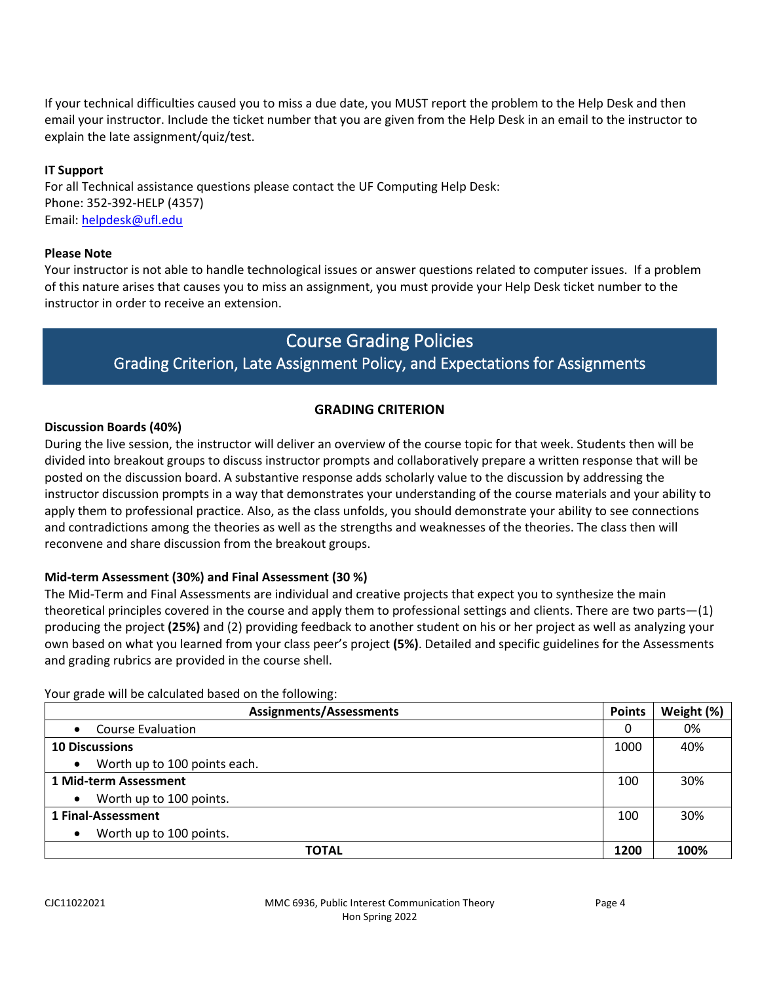If your technical difficulties caused you to miss a due date, you MUST report the problem to the Help Desk and then email your instructor. Include the ticket number that you are given from the Help Desk in an email to the instructor to explain the late assignment/quiz/test.

#### **IT Support**

For all Technical assistance questions please contact the UF Computing Help Desk: Phone: 352-392-HELP (4357) Email: [helpdesk@ufl.edu](mailto:helpdesk@ufl.edu)

#### **Please Note**

<span id="page-3-0"></span>Your instructor is not able to handle technological issues or answer questions related to computer issues. If a problem of this nature arises that causes you to miss an assignment, you must provide your Help Desk ticket number to the instructor in order to receive an extension.

### Course Grading Policies

### Grading Criterion, Late Assignment Policy, and Expectations for Assignments

### **GRADING CRITERION**

#### <span id="page-3-1"></span>**Discussion Boards (40%)**

During the live session, the instructor will deliver an overview of the course topic for that week. Students then will be divided into breakout groups to discuss instructor prompts and collaboratively prepare a written response that will be posted on the discussion board. A substantive response adds scholarly value to the discussion by addressing the instructor discussion prompts in a way that demonstrates your understanding of the course materials and your ability to apply them to professional practice. Also, as the class unfolds, you should demonstrate your ability to see connections and contradictions among the theories as well as the strengths and weaknesses of the theories. The class then will reconvene and share discussion from the breakout groups.

#### **Mid-term Assessment (30%) and Final Assessment (30 %)**

The Mid-Term and Final Assessments are individual and creative projects that expect you to synthesize the main theoretical principles covered in the course and apply them to professional settings and clients. There are two parts—(1) producing the project **(25%)** and (2) providing feedback to another student on his or her project as well as analyzing your own based on what you learned from your class peer's project **(5%)**. Detailed and specific guidelines for the Assessments and grading rubrics are provided in the course shell.

Your grade will be calculated based on the following:

| <b>Assignments/Assessments</b>            |      | Weight (%) |
|-------------------------------------------|------|------------|
| <b>Course Evaluation</b><br>$\bullet$     | 0    | 0%         |
| <b>10 Discussions</b>                     | 1000 | 40%        |
| Worth up to 100 points each.<br>$\bullet$ |      |            |
| 1 Mid-term Assessment                     | 100  | 30%        |
| Worth up to 100 points.<br>$\bullet$      |      |            |
| 1 Final-Assessment                        | 100  | 30%        |
| Worth up to 100 points.<br>$\bullet$      |      |            |
| TOTAL                                     | 1200 | 100%       |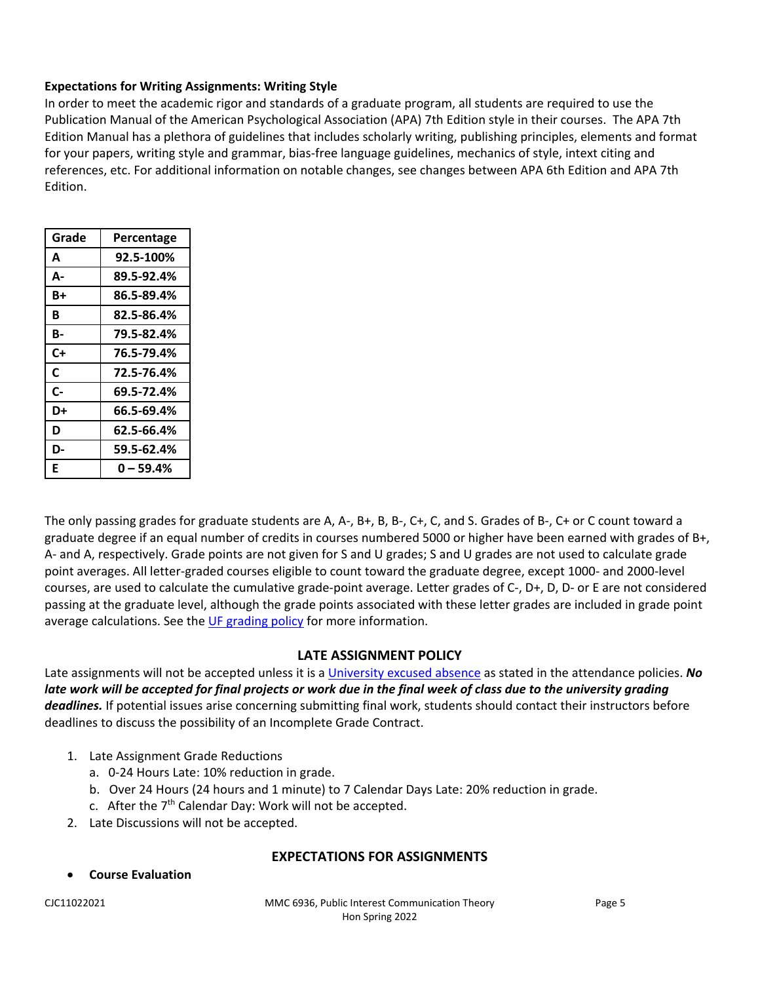#### **Expectations for Writing Assignments: Writing Style**

In order to meet the academic rigor and standards of a graduate program, all students are required to use the Publication Manual of the American Psychological Association (APA) 7th Edition style in their courses. The APA 7th Edition Manual has a plethora of guidelines that includes scholarly writing, publishing principles, elements and format for your papers, writing style and grammar, bias-free language guidelines, mechanics of style, intext citing and references, etc. For additional information on notable changes, see changes between APA 6th Edition and APA 7th Edition.

| Grade | Percentage |
|-------|------------|
| A     | 92.5-100%  |
| А-    | 89.5-92.4% |
| B+    | 86.5-89.4% |
| R     | 82.5-86.4% |
| В-    | 79.5-82.4% |
| C+    | 76.5-79.4% |
| C     | 72.5-76.4% |
| $c-$  | 69.5-72.4% |
| D+    | 66.5-69.4% |
| D     | 62.5-66.4% |
| D-    | 59.5-62.4% |
| E     | 0 – 59.4%  |

The only passing grades for graduate students are A, A-, B+, B, B-, C+, C, and S. Grades of B-, C+ or C count toward a graduate degree if an equal number of credits in courses numbered 5000 or higher have been earned with grades of B+, A- and A, respectively. Grade points are not given for S and U grades; S and U grades are not used to calculate grade point averages. All letter-graded courses eligible to count toward the graduate degree, except 1000- and 2000-level courses, are used to calculate the cumulative grade-point average. Letter grades of C-, D+, D, D- or E are not considered passing at the graduate level, although the grade points associated with these letter grades are included in grade point average calculations. See the [UF grading policy](https://catalog.ufl.edu/graduate/regulations/#text) for more information.

#### **LATE ASSIGNMENT POLICY**

Late assignments will not be accepted unless it is a [University excused absence](https://catalog.ufl.edu/UGRD/academic-regulations/attendance-policies/) as stated in the attendance policies. *No*  late work will be accepted for final projects or work due in the final week of class due to the university grading *deadlines.* If potential issues arise concerning submitting final work, students should contact their instructors before deadlines to discuss the possibility of an Incomplete Grade Contract.

- 1. Late Assignment Grade Reductions
	- a. 0-24 Hours Late: 10% reduction in grade.
	- b. Over 24 Hours (24 hours and 1 minute) to 7 Calendar Days Late: 20% reduction in grade.
	- c. After the  $7<sup>th</sup>$  Calendar Day: Work will not be accepted.
- 2. Late Discussions will not be accepted.

#### **EXPECTATIONS FOR ASSIGNMENTS**

• **Course Evaluation** 

CJC11022021 MMC 6936, Public Interest Communication Theory Page 5 Hon Spring 2022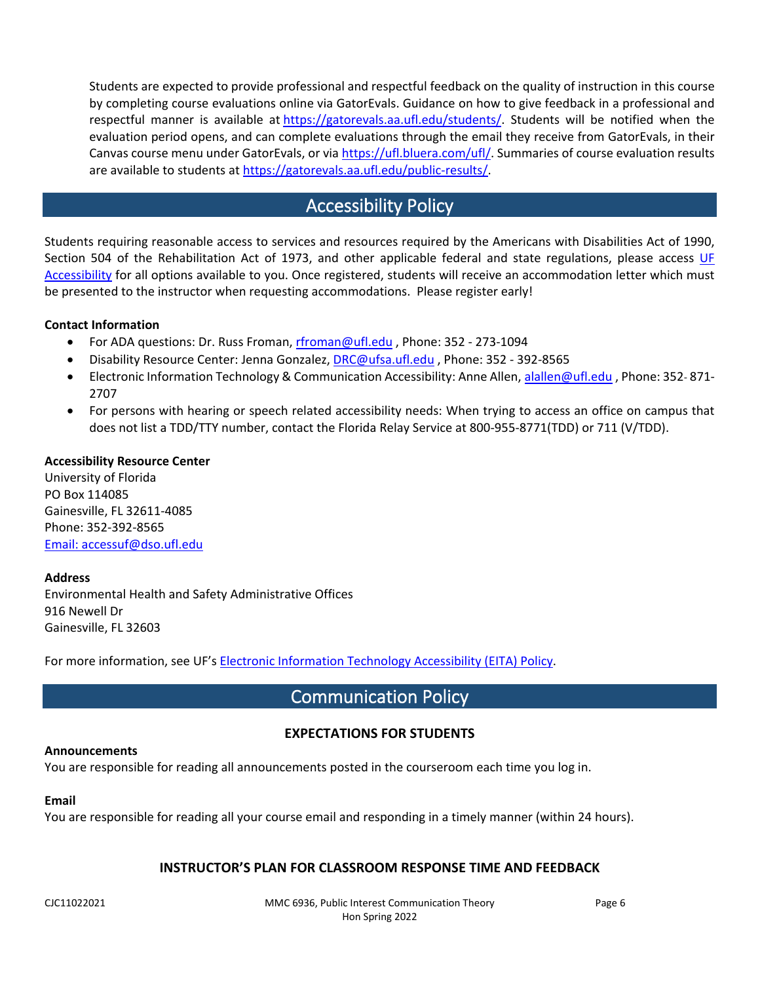Students are expected to provide professional and respectful feedback on the quality of instruction in this course by completing course evaluations online via GatorEvals. Guidance on how to give feedback in a professional and respectful manner is available at [https://gatorevals.aa.ufl.edu/students/.](https://gatorevals.aa.ufl.edu/students/) Students will be notified when the evaluation period opens, and can complete evaluations through the email they receive from GatorEvals, in their Canvas course menu under GatorEvals, or via [https://ufl.bluera.com/ufl/.](https://ufl.bluera.com/ufl/) Summaries of course evaluation results are available to students at [https://gatorevals.aa.ufl.edu/public-results/.](https://gatorevals.aa.ufl.edu/public-results/)

## Accessibility Policy

<span id="page-5-0"></span>Students requiring reasonable access to services and resources required by the Americans with Disabilities Act of 1990, Section 504 of the Rehabilitation Act of 1973, and other applicable federal and state regulations, please access UF [Accessibility](https://accessibility.ufl.edu/) for all options available to you. Once registered, students will receive an accommodation letter which must be presented to the instructor when requesting accommodations. Please register early!

#### **Contact Information**

- For ADA questions: Dr. Russ Froman, [rfroman@ufl.edu](mailto:rfroman@ufl.edu?Subject=Subject%20Here), Phone: 352 273-1094
- Disability Resource Center: Jenna Gonzalez, [DRC@ufsa.ufl.edu](mailto:DRC@ufsa.ufl.edu) , Phone: 352 392-8565
- Electronic Information Technology & Communication Accessibility: Anne Allen, [alallen@ufl.edu](mailto:alallen@ufl.edu?Subject=Subject%20Here), Phone: 352-871-2707
- For persons with hearing or speech related accessibility needs: When trying to access an office on campus that does not list a TDD/TTY number, contact the Florida Relay Service at 800-955-8771(TDD) or 711 (V/TDD).

#### **Accessibility Resource Center**

University of Florida PO Box 114085 Gainesville, FL 32611-4085 Phone: 352-392-8565 [Email: accessuf@dso.ufl.edu](mailto:accessuf@dso.ufl.edu)

#### **Address**

Environmental Health and Safety Administrative Offices 916 Newell Dr Gainesville, FL 32603

<span id="page-5-1"></span>For more information, see UF's [Electronic Information Technology Accessibility \(EITA\) Policy.](https://it.ufl.edu/policies/eita-accessibility/eita-policy/)

### Communication Policy

### **EXPECTATIONS FOR STUDENTS**

#### **Announcements**

You are responsible for reading all announcements posted in the courseroom each time you log in.

#### **Email**

You are responsible for reading all your course email and responding in a timely manner (within 24 hours).

#### **INSTRUCTOR'S PLAN FOR CLASSROOM RESPONSE TIME AND FEEDBACK**

CJC11022021 MMC 6936, Public Interest Communication Theory Page 6 Hon Spring 2022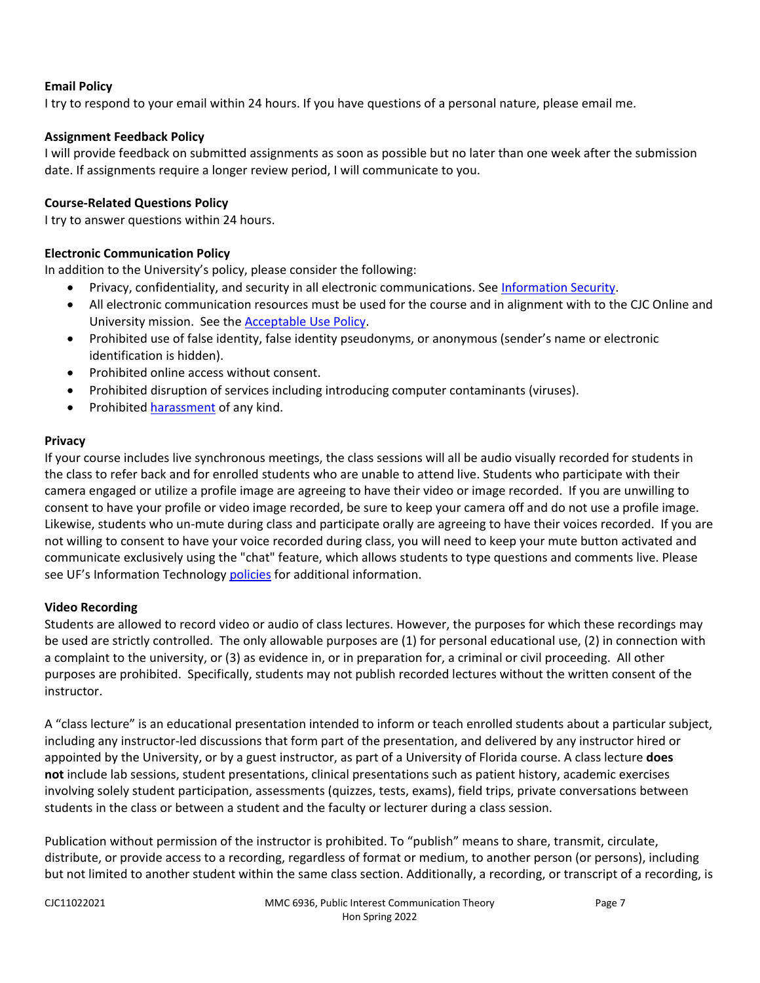#### **Email Policy**

I try to respond to your email within 24 hours. If you have questions of a personal nature, please email me.

#### **Assignment Feedback Policy**

I will provide feedback on submitted assignments as soon as possible but no later than one week after the submission date. If assignments require a longer review period, I will communicate to you.

#### **Course-Related Questions Policy**

I try to answer questions within 24 hours.

#### **Electronic Communication Policy**

In addition to the University's policy, please consider the following:

- Privacy, confidentiality, and security in all electronic communications. See [Information Security.](https://it.ufl.edu/policies/information-security/)
- All electronic communication resources must be used for the course and in alignment with to the CJC Online and University mission. See the [Acceptable Use Policy.](https://it.ufl.edu/policies/acceptable-use/acceptable-use-policy/)
- Prohibited use of false identity, false identity pseudonyms, or anonymous (sender's name or electronic identification is hidden).
- Prohibited online access without consent.
- Prohibited disruption of services including introducing computer contaminants (viruses).
- Prohibited [harassment](https://it.ufl.edu/policies/acceptable-use/acceptable-use-policy/) of any kind.

#### **Privacy**

If your course includes live synchronous meetings, the class sessions will all be audio visually recorded for students in the class to refer back and for enrolled students who are unable to attend live. Students who participate with their camera engaged or utilize a profile image are agreeing to have their video or image recorded. If you are unwilling to consent to have your profile or video image recorded, be sure to keep your camera off and do not use a profile image. Likewise, students who un-mute during class and participate orally are agreeing to have their voices recorded. If you are not willing to consent to have your voice recorded during class, you will need to keep your mute button activated and communicate exclusively using the "chat" feature, which allows students to type questions and comments live. Please see UF's Information Technology [policies](https://it.ufl.edu/policies/) for additional information.

#### **Video Recording**

Students are allowed to record video or audio of class lectures. However, the purposes for which these recordings may be used are strictly controlled. The only allowable purposes are (1) for personal educational use, (2) in connection with a complaint to the university, or (3) as evidence in, or in preparation for, a criminal or civil proceeding. All other purposes are prohibited. Specifically, students may not publish recorded lectures without the written consent of the instructor.

A "class lecture" is an educational presentation intended to inform or teach enrolled students about a particular subject, including any instructor-led discussions that form part of the presentation, and delivered by any instructor hired or appointed by the University, or by a guest instructor, as part of a University of Florida course. A class lecture **does not** include lab sessions, student presentations, clinical presentations such as patient history, academic exercises involving solely student participation, assessments (quizzes, tests, exams), field trips, private conversations between students in the class or between a student and the faculty or lecturer during a class session.

Publication without permission of the instructor is prohibited. To "publish" means to share, transmit, circulate, distribute, or provide access to a recording, regardless of format or medium, to another person (or persons), including but not limited to another student within the same class section. Additionally, a recording, or transcript of a recording, is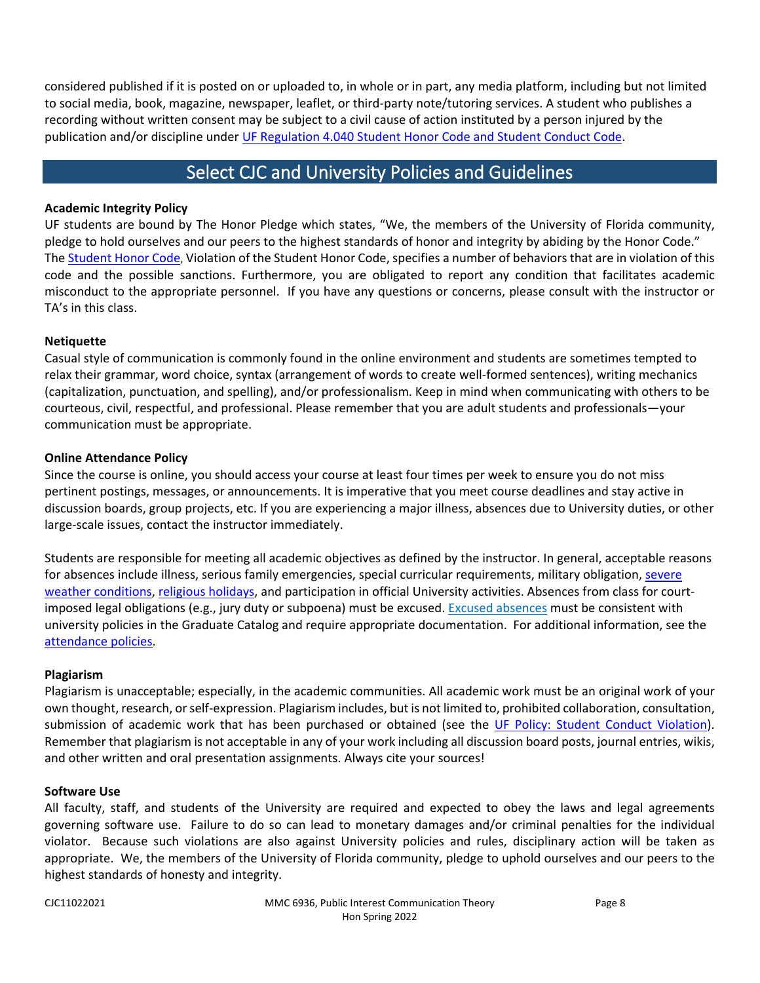considered published if it is posted on or uploaded to, in whole or in part, any media platform, including but not limited to social media, book, magazine, newspaper, leaflet, or third-party note/tutoring services. A student who publishes a recording without written consent may be subject to a civil cause of action instituted by a person injured by the publication and/or discipline under [UF Regulation 4.040 Student Honor Code and Student Conduct Code.](https://sccr.dso.ufl.edu/policies/student-honor-code-student-conduct-code/)

### Select CJC and University Policies and Guidelines

#### <span id="page-7-0"></span>**Academic Integrity Policy**

UF students are bound by The Honor Pledge which states, "We, the members of the University of Florida community, pledge to hold ourselves and our peers to the highest standards of honor and integrity by abiding by the Honor Code." The [Student Honor Code,](https://sccr.dso.ufl.edu/policies/student-honor-code-student-conduct-code/) Violation of the Student Honor Code, specifies a number of behaviors that are in violation of this code and the possible sanctions. Furthermore, you are obligated to report any condition that facilitates academic misconduct to the appropriate personnel. If you have any questions or concerns, please consult with the instructor or TA's in this class.

#### **Netiquette**

Casual style of communication is commonly found in the online environment and students are sometimes tempted to relax their grammar, word choice, syntax (arrangement of words to create well-formed sentences), writing mechanics (capitalization, punctuation, and spelling), and/or professionalism. Keep in mind when communicating with others to be courteous, civil, respectful, and professional. Please remember that you are adult students and professionals—your communication must be appropriate.

#### **Online Attendance Policy**

Since the course is online, you should access your course at least four times per week to ensure you do not miss pertinent postings, messages, or announcements. It is imperative that you meet course deadlines and stay active in discussion boards, group projects, etc. If you are experiencing a major illness, absences due to University duties, or other large-scale issues, contact the instructor immediately.

Students are responsible for meeting all academic objectives as defined by the instructor. In general, acceptable reasons for absences include illness, serious family emergencies, special curricular requirements, military obligation, severe [weather conditions,](https://emergency.ufl.edu/weather-information/) [religious holidays,](https://regulations.ufl.edu/wp-content/uploads/2012/09/4052.pdf) and participation in official University activities. Absences from class for court-imposed legal obligations (e.g., jury duty or subpoena) must be excused. [Excused absences](https://catalog.ufl.edu/graduate/regulations/#text) must be consistent with university policies in the Graduate Catalog and require appropriate documentation. For additional information, see the [attendance policies.](https://catalog.ufl.edu/UGRD/academic-regulations/attendance-policies/)

#### **Plagiarism**

Plagiarism is unacceptable; especially, in the academic communities. All academic work must be an original work of your own thought, research, or self-expression. Plagiarism includes, but is not limited to, prohibited collaboration, consultation, submission of academic work that has been purchased or obtained (see the [UF Policy: Student Conduct Violation\)](https://flexible.dce.ufl.edu/media/flexibledceufledu/documents/uf_policy_student_conduct.pdf). Remember that plagiarism is not acceptable in any of your work including all discussion board posts, journal entries, wikis, and other written and oral presentation assignments. Always cite your sources!

#### **Software Use**

All faculty, staff, and students of the University are required and expected to obey the laws and legal agreements governing software use. Failure to do so can lead to monetary damages and/or criminal penalties for the individual violator. Because such violations are also against University policies and rules, disciplinary action will be taken as appropriate. We, the members of the University of Florida community, pledge to uphold ourselves and our peers to the highest standards of honesty and integrity.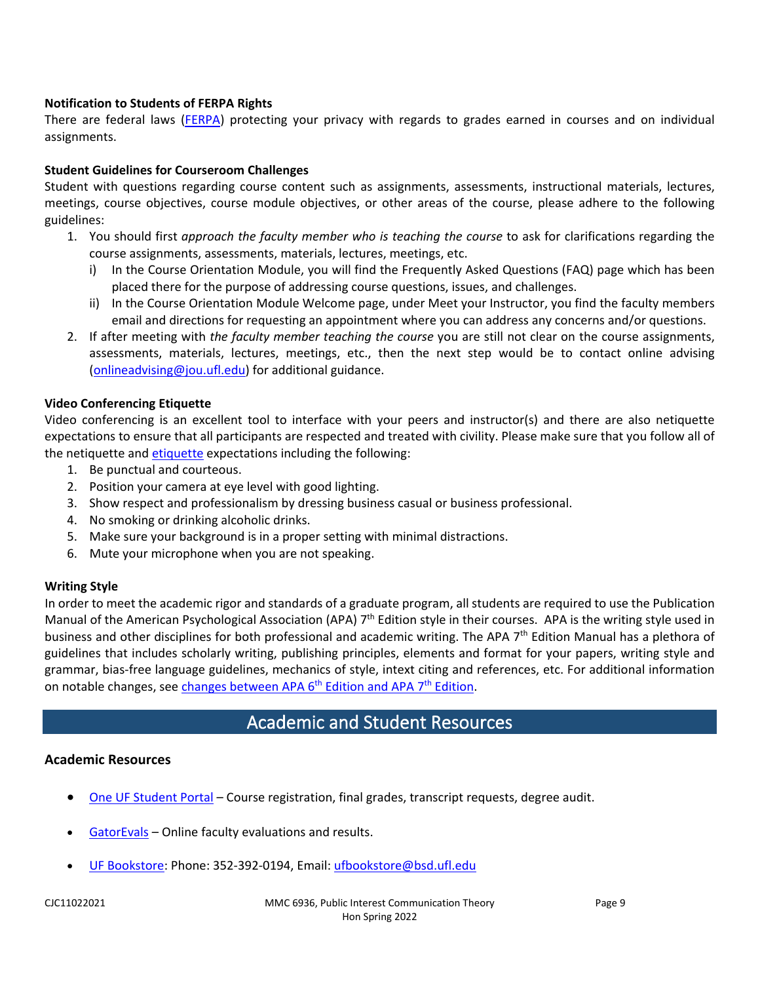#### **Notification to Students of FERPA Rights**

There are federal laws [\(FERPA\)](https://registrar.ufl.edu/ferpa) protecting your privacy with regards to grades earned in courses and on individual assignments.

#### **Student Guidelines for Courseroom Challenges**

Student with questions regarding course content such as assignments, assessments, instructional materials, lectures, meetings, course objectives, course module objectives, or other areas of the course, please adhere to the following guidelines:

- 1. You should first *approach the faculty member who is teaching the course* to ask for clarifications regarding the course assignments, assessments, materials, lectures, meetings, etc.
	- i) In the Course Orientation Module, you will find the Frequently Asked Questions (FAQ) page which has been placed there for the purpose of addressing course questions, issues, and challenges.
	- ii) In the Course Orientation Module Welcome page, under Meet your Instructor, you find the faculty members email and directions for requesting an appointment where you can address any concerns and/or questions.
- 2. If after meeting with *the faculty member teaching the course* you are still not clear on the course assignments, assessments, materials, lectures, meetings, etc., then the next step would be to contact online advising [\(onlineadvising@jou.ufl.edu\)](mailto:onlineadvising@jou.ufl.edu) for additional guidance.

#### **Video Conferencing Etiquette**

Video conferencing is an excellent tool to interface with your peers and instructor(s) and there are also netiquette expectations to ensure that all participants are respected and treated with civility. Please make sure that you follow all of the netiquette and [etiquette](https://www.advising.ufl.edu/docs/ProfessionalEtiquette.pdf) expectations including the following:

- 1. Be punctual and courteous.
- 2. Position your camera at eye level with good lighting.
- 3. Show respect and professionalism by dressing business casual or business professional.
- 4. No smoking or drinking alcoholic drinks.
- 5. Make sure your background is in a proper setting with minimal distractions.
- 6. Mute your microphone when you are not speaking.

#### **Writing Style**

In order to meet the academic rigor and standards of a graduate program, all students are required to use the Publication Manual of the American Psychological Association (APA) 7<sup>th</sup> Edition style in their courses. APA is the writing style used in business and other disciplines for both professional and academic writing. The APA  $7<sup>th</sup>$  Edition Manual has a plethora of guidelines that includes scholarly writing, publishing principles, elements and format for your papers, writing style and grammar, bias-free language guidelines, mechanics of style, intext citing and references, etc. For additional information on notable changes, see changes between APA 6<sup>th</sup> Edition and APA 7<sup>th</sup> Edition.

## Academic and Student Resources

#### <span id="page-8-0"></span>**Academic Resources**

- [One UF Student Portal](https://one.uf.edu/dashboard/) Course registration, final grades, transcript requests, degree audit.
- [GatorEvals](https://gatorevals.aa.ufl.edu/) Online faculty evaluations and results.
- [UF Bookstore:](https://www.bsd.ufl.edu/g1c/bookstore/bookstore.asp) Phone: 352-392-0194, Email: [ufbookstore@bsd.ufl.edu](mailto:ufbookstore@bsd.ufl.edu)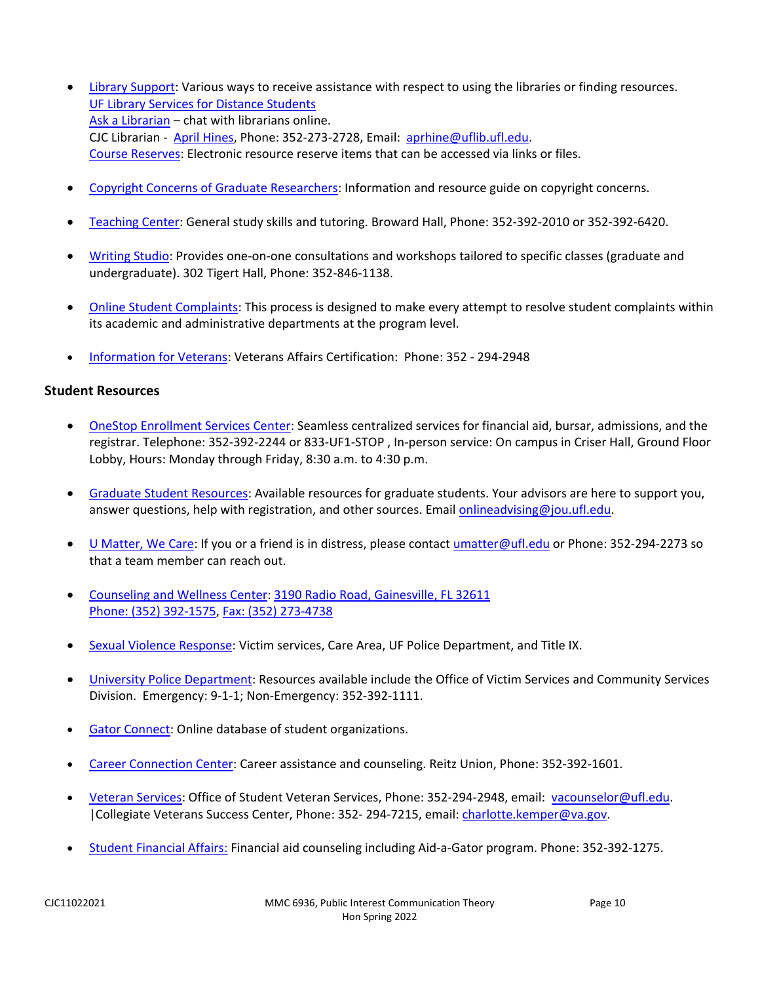- [Library Support:](https://cms.uflib.ufl.edu/ask) Various ways to receive assistance with respect to using the libraries or finding resources. [UF Library Services for Distance Students](http://guides.uflib.ufl.edu/distancelearners) [Ask a Librarian](http://cms.uflib.ufl.edu/ask) – chat with librarians online. CJC Librarian - [April Hines,](mailto:aprhine@uflib.ufl.edu) Phone: 352-273-2728, Email: [aprhine@uflib.ufl.edu.](mailto:aprhine@uflib.ufl.edu) [Course Reserves:](https://cms.uflib.ufl.edu/accesssupport/coursereserves) Electronic resource reserve items that can be accessed via links or files.
- [Copyright Concerns of Graduate Researchers:](http://guides.uflib.ufl.edu/copyright/copyrightgradstudents) Information and resource guide on copyright concerns.
- [Teaching Center:](https://teachingcenter.ufl.edu/) General study skills and tutoring. Broward Hall, Phone: 352-392-2010 or 352-392-6420.
- [Writing Studio:](https://umatter.ufl.edu/office/writing-studio/) Provides one-on-one consultations and workshops tailored to specific classes (graduate and undergraduate). 302 Tigert Hall, Phone: 352-846-1138.
- [Online Student Complaints:](https://distance.ufl.edu/student-complaint-process/) This process is designed to make every attempt to resolve student complaints within its academic and administrative departments at the program level.
- [Information for Veterans:](http://veterans.ufl.edu/) Veterans Affairs Certification: Phone: 352 294-2948

#### **Student Resources**

- [OneStop Enrollment Services Center:](https://onestop.em.ufl.edu/) Seamless centralized services for financial aid, bursar, admissions, and the registrar. Telephone: 352-392-2244 or 833-UF1-STOP , In-person service: On campus in Criser Hall, Ground Floor Lobby, Hours: Monday through Friday, 8:30 a.m. to 4:30 p.m.
- [Graduate Student Resources:](https://catalog.ufl.edu/graduate/resources/) Available resources for graduate students. Your advisors are here to support you, answer questions, help with registration, and other sources. Email [onlineadvising@jou.ufl.edu.](mailto:onlineadvising@jou.ufl.edu)
- [U Matter, We Care:](https://umatter.ufl.edu/) If you or a friend is in distress, please contact [umatter@ufl.edu](mailto:umatter@ufl.edu) or Phone: 352-294-2273 so that a team member can reach out.
- [Counseling and Wellness Center:](https://counseling.ufl.edu/) [3190 Radio Road, Gainesville, FL 32611](https://goo.gl/maps/QuW7SEzqdH82) Phone: [\(352\) 392-1575,](tel:3523921575) [Fax: \(352\) 273-4738](tel:3522734738)
- [Sexual Violence Response:](https://umatter.ufl.edu/helping-students/sexual-violence-response/) Victim services, Care Area, UF Police Department, and Title IX.
- [University Police Department:](https://police.ufl.edu/) Resources available include the Office of Victim Services and Community Services Division. Emergency: 9-1-1; Non-Emergency: 352-392-1111.
- [Gator Connect:](https://orgs.studentinvolvement.ufl.edu/organizations) Online database of student organizations.
- [Career Connection Center:](https://career.ufl.edu/) Career assistance and counseling. Reitz Union, Phone: 352-392-1601.
- [Veteran Services:](http://veterans.ufl.edu/) Office of Student Veteran Services, Phone: 352-294-2948, email: [vacounselor@ufl.edu.](mailto:vacounselor@ufl.edu) |Collegiate Veterans Success Center, Phone: 352- 294-7215, email[: charlotte.kemper@va.gov.](mailto:charlotte.kemper@va.gov)
- [Student Financial Affairs:](https://www.sfa.ufl.edu/) Financial aid counseling including Aid-a-Gator program. Phone: 352-392-1275.